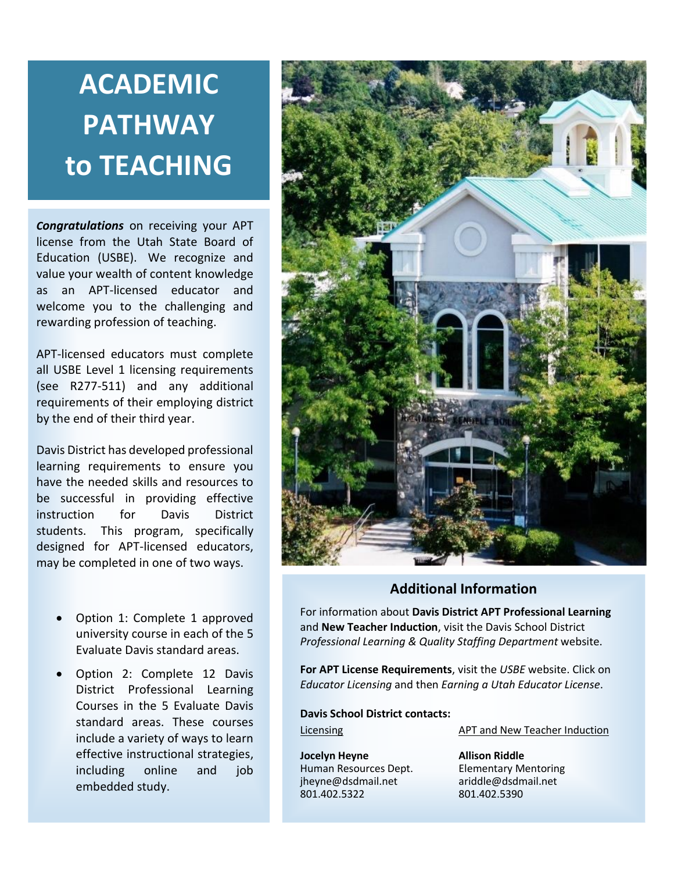# **ACADEMIC PATHWAY to TEACHING**

*Congratulations* on receiving your APT license from the Utah State Board of Education (USBE). We recognize and value your wealth of content knowledge as an APT-licensed educator and welcome you to the challenging and rewarding profession of teaching.

APT-licensed educators must complete all USBE Level 1 licensing requirements (see R277-511) and any additional requirements of their employing district by the end of their third year.

Davis District has developed professional learning requirements to ensure you have the needed skills and resources to be successful in providing effective instruction for Davis District students. This program, specifically designed for APT-licensed educators, may be completed in one of two ways.

- Option 1: Complete 1 approved university course in each of the 5 Evaluate Davis standard areas.
- Option 2: Complete 12 Davis District Professional Learning Courses in the 5 Evaluate Davis standard areas. These courses include a variety of ways to learn effective instructional strategies, including online and job embedded study.



## **Additional Information**

For information about **Davis District APT Professional Learning** and **New Teacher Induction**, visit the Davis School District *[Professional Learning](http://www.davis.k12.ut.us/Page/97805) & Quality Staffing Department* website.

**For APT License Requirements**, visit the *USBE* website. Click on *Educator Licensing* and then *Earning a Utah Educator License*.

**Davis School District contacts:** Licensing APT and New Teacher Induction

**Jocelyn Heyne Allison Riddle**<br>
Human Resources Dept. **Allison Riddle** [jheyne@dsdmail.net](mailto:jheyne@dsdmail.net) ariddle@dsdmail.net<br>801.402.5322 801.402.5390 801.402.5322

**Elementary Mentoring**